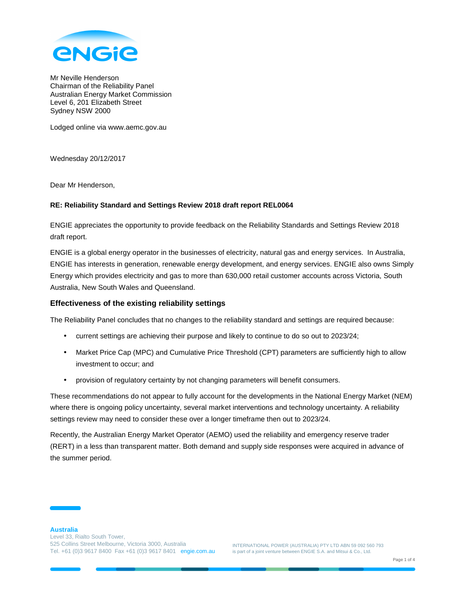

Mr Neville Henderson Chairman of the Reliability Panel Australian Energy Market Commission Level 6, 201 Elizabeth Street Sydney NSW 2000

Lodged online via www.aemc.gov.au

Wednesday 20/12/2017

Dear Mr Henderson,

#### **RE: Reliability Standard and Settings Review 2018 draft report REL0064**

ENGIE appreciates the opportunity to provide feedback on the Reliability Standards and Settings Review 2018 draft report.

ENGIE is a global energy operator in the businesses of electricity, natural gas and energy services. In Australia, ENGIE has interests in generation, renewable energy development, and energy services. ENGIE also owns Simply Energy which provides electricity and gas to more than 630,000 retail customer accounts across Victoria, South Australia, New South Wales and Queensland.

# **Effectiveness of the existing reliability settings**

The Reliability Panel concludes that no changes to the reliability standard and settings are required because:

- current settings are achieving their purpose and likely to continue to do so out to 2023/24;
- Market Price Cap (MPC) and Cumulative Price Threshold (CPT) parameters are sufficiently high to allow investment to occur; and
- provision of regulatory certainty by not changing parameters will benefit consumers.

These recommendations do not appear to fully account for the developments in the National Energy Market (NEM) where there is ongoing policy uncertainty, several market interventions and technology uncertainty. A reliability settings review may need to consider these over a longer timeframe then out to 2023/24.

Recently, the Australian Energy Market Operator (AEMO) used the reliability and emergency reserve trader (RERT) in a less than transparent matter. Both demand and supply side responses were acquired in advance of the summer period.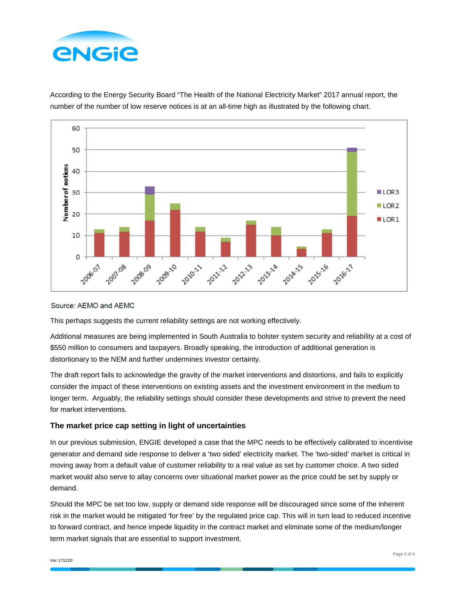



According to the Energy Security Board "The Health of the National Electricity Market" 2017 annual report, the number of the number of low reserve notices is at an all-time high as illustrated by the following chart.

#### Source: AEMO and AEMC

This perhaps suggests the current reliability settings are not working effectively.

Additional measures are being implemented in South Australia to bolster system security and reliability at a cost of \$550 million to consumers and taxpayers. Broadly speaking, the introduction of additional generation is distortionary to the NEM and further undermines investor certainty.

The draft report fails to acknowledge the gravity of the market interventions and distortions, and fails to explicitly consider the impact of these interventions on existing assets and the investment environment in the medium to longer term. Arguably, the reliability settings should consider these developments and strive to prevent the need for market interventions.

# **The market price cap setting in light of uncertainties**

In our previous submission, ENGIE developed a case that the MPC needs to be effectively calibrated to incentivise generator and demand side response to deliver a 'two sided' electricity market. The 'two-sided' market is critical in moving away from a default value of customer reliability to a real value as set by customer choice. A two sided market would also serve to allay concerns over situational market power as the price could be set by supply or demand.

Should the MPC be set too low, supply or demand side response will be discouraged since some of the inherent risk in the market would be mitigated 'for free' by the regulated price cap. This will in turn lead to reduced incentive to forward contract, and hence impede liquidity in the contract market and eliminate some of the medium/longer term market signals that are essential to support investment.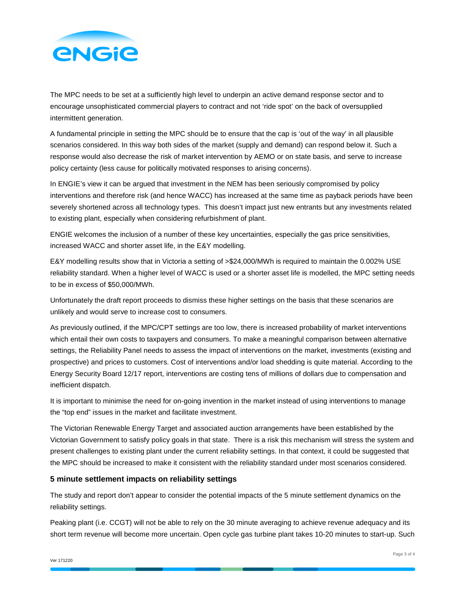

The MPC needs to be set at a sufficiently high level to underpin an active demand response sector and to encourage unsophisticated commercial players to contract and not 'ride spot' on the back of oversupplied intermittent generation.

A fundamental principle in setting the MPC should be to ensure that the cap is 'out of the way' in all plausible scenarios considered. In this way both sides of the market (supply and demand) can respond below it. Such a response would also decrease the risk of market intervention by AEMO or on state basis, and serve to increase policy certainty (less cause for politically motivated responses to arising concerns).

In ENGIE's view it can be argued that investment in the NEM has been seriously compromised by policy interventions and therefore risk (and hence WACC) has increased at the same time as payback periods have been severely shortened across all technology types. This doesn't impact just new entrants but any investments related to existing plant, especially when considering refurbishment of plant.

ENGIE welcomes the inclusion of a number of these key uncertainties, especially the gas price sensitivities, increased WACC and shorter asset life, in the E&Y modelling.

E&Y modelling results show that in Victoria a setting of >\$24,000/MWh is required to maintain the 0.002% USE reliability standard. When a higher level of WACC is used or a shorter asset life is modelled, the MPC setting needs to be in excess of \$50,000/MWh.

Unfortunately the draft report proceeds to dismiss these higher settings on the basis that these scenarios are unlikely and would serve to increase cost to consumers.

As previously outlined, if the MPC/CPT settings are too low, there is increased probability of market interventions which entail their own costs to taxpayers and consumers. To make a meaningful comparison between alternative settings, the Reliability Panel needs to assess the impact of interventions on the market, investments (existing and prospective) and prices to customers. Cost of interventions and/or load shedding is quite material. According to the Energy Security Board 12/17 report, interventions are costing tens of millions of dollars due to compensation and inefficient dispatch.

It is important to minimise the need for on-going invention in the market instead of using interventions to manage the "top end" issues in the market and facilitate investment.

The Victorian Renewable Energy Target and associated auction arrangements have been established by the Victorian Government to satisfy policy goals in that state. There is a risk this mechanism will stress the system and present challenges to existing plant under the current reliability settings. In that context, it could be suggested that the MPC should be increased to make it consistent with the reliability standard under most scenarios considered.

# **5 minute settlement impacts on reliability settings**

The study and report don't appear to consider the potential impacts of the 5 minute settlement dynamics on the reliability settings.

Peaking plant (i.e. CCGT) will not be able to rely on the 30 minute averaging to achieve revenue adequacy and its short term revenue will become more uncertain. Open cycle gas turbine plant takes 10-20 minutes to start-up. Such